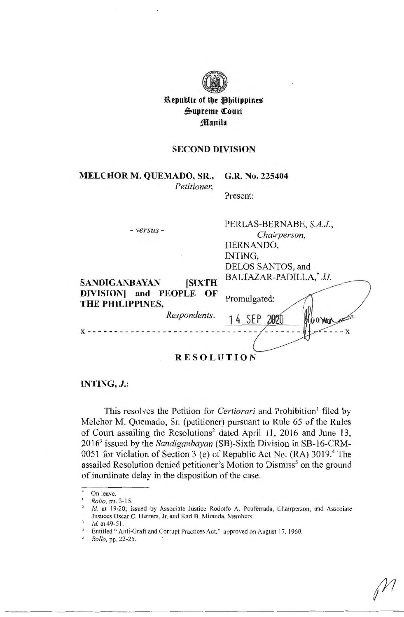

**l\.epublic of tbe ~btlippine~**   $\mathfrak{G}$ upreme Court **:fflantla** 

### **SECOND DIVISION**

# **MELCHOR M. QUEMADO, SR., G.R. No. 225404**

*Petitioner,* 

Present:

PERLAS-BERNABE, S.A.J.

| - versus -                                 | LUKUAS-DUKINADU, 9.4.7.,<br>Chairperson, |
|--------------------------------------------|------------------------------------------|
|                                            | HERNANDO,                                |
|                                            | INTING,                                  |
|                                            | DELOS SANTOS, and                        |
| <b>SIXTH</b><br><b>SANDIGANBAYAN</b>       | BALTAZAR-PADILLA,* JJ.                   |
| DIVISION and PEOPLE OF<br>THE PHILIPPINES, | Promulgated:                             |
| Respondents.                               | 14 SEP 2020<br><b>UQYWA</b>              |
|                                            |                                          |
|                                            |                                          |

**RESOLUTION** 

#### **INTING,** *J.:*

This resolves the Petition for *Certiorari* and Prohibition<sup>1</sup> filed by Melchor M. Quemado, Sr. (petitioner) pursuant to Rule 65 of the Rules of Court assailing the Resolutions<sup>2</sup> dated April 11, 2016 and June 13, 20163 issued by the *Sandiganbayan* (SB)-Sixth Division in SB-16-CRM-0051 for violation of Section 3 (e) of Republic Act No. (RA)  $3019<sup>4</sup>$  The assailed Resolution denied petitioner's Motion to Dismiss<sup>5</sup> on the ground of inordinate delay in the disposition of the case.

On leave.

<sup>1</sup> *Rollo,* pp. 3-15.

Id. at 19-20; issued by Associate Justice Rodolfo A. Ponferrada, Chairperson, and Associate Justices Oscar C. Herrera, Jr. and Karl B. Miranda, Members.

Id. at 49-51.<br>Entitled " Anti-Graft and Corrupt Practices Act." approved on August 17. 1960.

*Rollo,* pp. 22-25.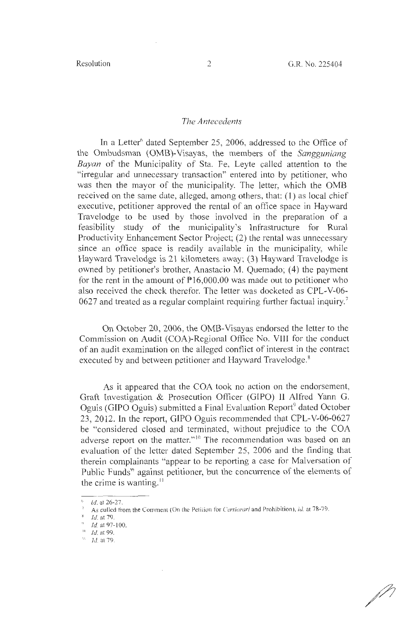#### *The Antecedents*

In a Letter<sup>6</sup> dated September 25, 2006, addressed to the Office of the Ombudsman (OMB)-Visayas, the members of the *Sangguniang Bayan* of the Municipality of Sta. Fe, Leyte called attention to the "irregular and unnecessary transaction" entered into by petitioner, who was then the mayor of the municipality. The letter, which the 0MB received on the same date, alleged, among others, that: (1) as local chief executive, petitioner approved the rental of an office space in Hayward Travelodge to be used by those involved in the preparation of a feasibility study of the municipality's Infrastructure for Rural Productivity Enhancement Sector Project; (2) the rental was unnecessary since an office space is readily available in the municipality, while Hayward Travelodge is 21 kilometers away; (3) Hayward Travelodge is owned by petitioner's brother, Anastacio M. Quemado; (4) the payment for the rent in the amount of  $P16,000.00$  was made out to petitioner who also received the check therefor. The letter was docketed as CPL-V-06- 0627 and treated as a regular complaint requiring further factual inquiry.<sup>7</sup>

On October 20, 2006, the OMB-Visayas endorsed the letter to the Commission on Audit (COA)-Regional Office No. VIII for the conduct of an audit examination on the alleged conflict of interest in the contract executed by and between petitioner and Hayward Travelodge.<sup>8</sup>

As it appeared that the COA took no action on the endorsement, Graft Investigation & Prosecution Officer (GIPO) II Alfred Yann G. Oguis (GIPO Oguis) submitted a Final Evaluation Report<sup>9</sup> dated October 23, 2012. In the report, GIPO Oguis recommended that CPL-V-06-0627 be "considered closed and terminated, without prejudice to the COA adverse report on the matter."<sup>10</sup> The recommendation was based on an evaluation of the letter dated September 25, 2006 and the finding that therein complainants "appear to be reporting a case for Malversation of Public Funds" against petitioner, but the concurrence of the elements of the crime is wanting.''

<sup>•</sup> Id. at 26-27.

<sup>7</sup> As culled from the Comment (On the Petition for *Certioruri* and Prohibition). *id.* at 78-79.

 $bl$  Id. at 79.

 $\frac{9}{1}$  Id. at 97-100.

 $10 - Id$ . at 99.

 $11$  *Id.* at 79.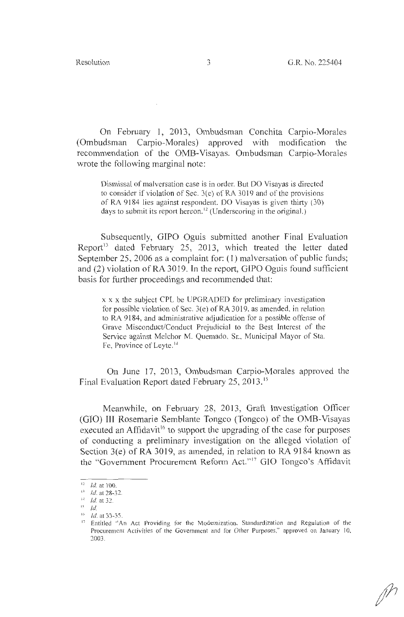On February 1, 2013, Ombudsman Conchita Carpio-Morales (Ombudsman Carpio-Morales) approved with modification the recommendation of the OMB-Visayas. Ombudsman Carpio-Morales wrote the following marginal note:

Dismissal of malversation case is in order. But DO Visayas is directed to consider if violation of Sec. 3(e) of RA 3019 and of the provisions of RA 9184 lies against respondent. DO Visayas is given thirty  $(30)$ days to submit its report hereon.<sup>12</sup> (Underscoring in the original.)

Subsequently, GIPO Oguis submitted another Final Evaluation Report<sup>13</sup> dated February 25, 2013, which treated the letter dated September 25, 2006 as a complaint for: (1) malversation of public funds; and (2) violation of RA 3019. In the report, GIPO Oguis found sufficient basis for further proceedings and recommended that:

x x x the subject CPL be UPGRADED for preliminary investigation for possible violation of Sec. 3(e) of RA 3019, as amended, in relation to RA 9184, and administrative adjudication for a possible offense of Grave Misconduct/Conduct Prejudicial to the Best Interest of the Service against Melchor M. Quemado, Sr., Municipal Mayor of Sta. Fe, Province of Leyte. <sup>14</sup>

On June 17, 2013, Ombudsman Carpio-Morales approved the Final Evaluation Report dated February 25, 2013. <sup>15</sup>

Meanwhile, on February 28, 2013, Graft Investigation Officer (GIO) III Rosemarie Semblante Tongco (Tongco) of the OMB-Visayas executed an Affidavit<sup>16</sup> to support the upgrading of the case for purposes of conducting a preliminary investigation on the alleged violation of Section 3(e) of RA 3019, as amended, in relation to RA 9184 known as the "Government Procurement Reform Act."<sup>17</sup> GIO Tongco's Affidavit

 $12$  *Id.* at 100.

<sup>&</sup>lt;sup>13</sup> *Id.* at 28-32.

 $^{\text{14}}$  *Id.* at 32.

 $^{15}$  Id.<br>  $^{16}$  Id.

*Id.* at 33-35.

<sup>&</sup>lt;sup>17</sup> Entitled "An Act Providing for the Modernization, Standardization and Regulation of the Procurement Activities of the Government and for Other Purposes," approved on January 10, 2003.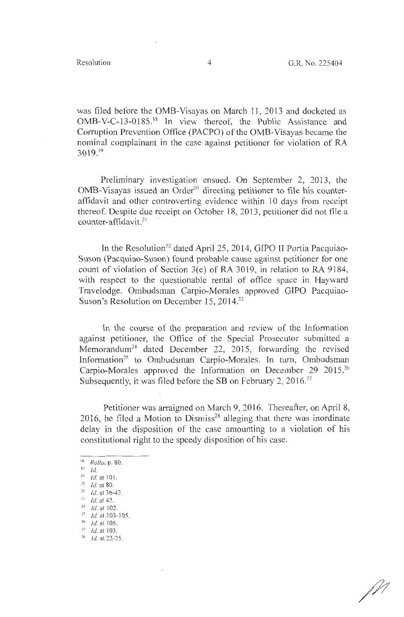was filed before the OMB-Visayas on March 11 , 2013 and docketed as OMB-V-C-13-0185.<sup>18</sup> In view thereof, the Public Assistance and Corruption Prevention Office (PACPO) of the OMB-Visayas became the nominal complainant in the case against petitioner for violation of RA 3019. <sup>19</sup>

Preliminary investigation ensued. On September 2, 2013, the  $OMB-V$ isayas issued an Order<sup>20</sup> directing petitioner to file his counteraffidavit and other controverting evidence within 10 days from receipt thereof. Despite due receipt on October 18, 2013, petitioner did not file a  $counter-affidavit.<sup>21</sup>$ 

In the Resolution<sup>22</sup> dated April 25, 2014, GIPO II Portia Pacquiao-Suson (Pacquiao-Suson) found probable cause against petitioner for one count of violation of Section 3(e) of RA 3019, in relation to RA 9184, with respect to the questionable rental of office space in Hayward Travelodge. Ombudsman Carpio-Morales approved GIPO Pacquiao-Suson's Resolution on December 15, 2014.<sup>23</sup>

In the course of the preparation and review of the Information against petitioner, the Office of the Special Prosecutor submitted a Memorandum<sup>24</sup> dated December 22, 2015, forwarding the revised Information<sup>25</sup> to Ombudsman Carpio-Morales. In turn, Ombudsman Carpio-Morales approved the Information on December 29 2015.<sup>26</sup> Subsequently, it was filed before the SB on February 2,  $2016$ <sup>27</sup>

Petitioner was arraigned on March 9, 2016. Thereafter, on April 8, 2016, he filed a Motion to Dismiss<sup>28</sup> alleging that there was inordinate delay in the disposition of the case amounting to a violation of his constitutional right to the speedy disposition of his case.

 $^{24}$  Id. at 102.

D i

<sup>18</sup>*Rollo,* p. 80.

 $\frac{19}{20}$  *Id.* at 101.

 $^{21}$  *Id.* at 80.

 $\frac{22}{23}$  *Id.* at 36-43.

 $^{25}$  *Id.* at 103-105.

 $\frac{26}{27}$  *Id.* at 105.

 $^{28}$  *Id.* at 22-25.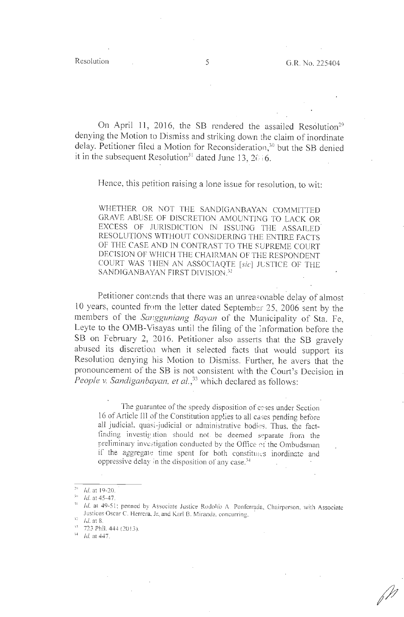$\sqrt{p}$ 

On April 11, 2016, the SB rendered the assailed Resolution<sup>29</sup> denying the Motion to Dismiss and striking down the claim of inordinate delay. Petitioner filed a Motion for Reconsideration,<sup>30</sup> but the SB denied it in the subsequent Resolution<sup>31</sup> dated June 13, 2( $(6.6)$ 

Hence, this petition raising a lone issue for resolution, to wit:

WHETHER OR NOT THE SANDIGANBAYAN COMMITTED GRAVE ABUSE OF DISCRETION AMOUNTING TO LACK OR EXCESS OF JURISDICTION IN ISSUING THE ASSAILED. RESOLUTIONS WITHOUT CONSIDERING THE ENTIRE FACTS OF THE CASE AND IN CONTRAST TO THE SUPREME COURT DECISION OF WHICH THE CHAIRMAN OF THE RESPONDENT COURT WAS THEN AN ASSOCIAQTE [sic] JLSTICE OF THE SANDIGANBAYAN FIRST DIVISION.<sup>32</sup>

Petitioner contends that there was an unreasonable delay of almost 10 years, counted from the letter dated September 25, 2006 sent by the members of the *Sangguniang Bayan* of the Municipality of Sta. Fe, Leyte to the OMB-Visayas until the filing of the }nformation before the SB on February 2, 2016. Petitioner also asserts that the SB gravely abused its discretion when it selected facts that would support its Resolution denying his Motion to Dismiss. Further, he avers that the pronouncement of the SB is not consistent with the Court's Decision in *People v. Sandiganbayan, et al.*,<sup>33</sup> which declared as follows:

The guarantee of the speedy disposition of cases under Section 16 of Article III of the Constitution applies to all cases pending before all judicial, quasi-judicial or administrative bodies. Thus, the factfinding investigation should not be deemed separate from the preliminary investigation conducted by the Office of the Ombudsman if the aggregate time spent for both constitutes inordinate and oppressive delay in the disposition of any case.<sup>34</sup>

<sup>2</sup> <sup>~</sup>Id. at 19-20.

*<sup>,</sup>u* ld.at45-47.

 $11$   $1d$ , at 49-51; penned by Associate Justice Rodolio A. Ponferrada, Chairperson, with Associate Justices Oscar C. Herrera, Jr. and Karl B. Miranda. concurring.

<sup>,</sup>\_ Id. **at 8 .** 

<sup>.</sup> u **723 Phil. 444 (20 ! 3).** 

<sup>14</sup>Id at 447.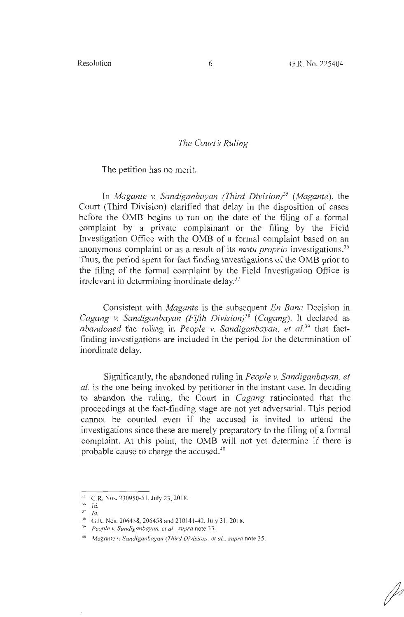#### **The Court's Ruling**

The petition has no merit.

In *Magante v. Sandiganbayan (Third Division}35 (Magante),* the Court (Third Division) clarified that delay in the disposition of cases before the 0MB begins to run on the date of the filing of a formal complaint by a private complainant or the filing by the Field Investigation Office with the 0MB of a formal complaint based on an anonymous complaint or as a result of its *motu proprio* investigations.<sup>36</sup> Thus, the period spent for fact finding investigations of the 0MB prior to the filing of the formal complaint by the Field Investigation Office is irrelevant in determining inordinate delay.<sup>37</sup>

Consistent with *Magante* is the subsequent *En Banc* Decision in *Cagang v. Sandiganbayan (Fifth Division}3<sup>8</sup>*( *Cagang).* It declared as *abandoned* the ruling in *People v. Sandiganbayan, et al.*<sup>39</sup> that factfinding investigations are included in the period for the determination of inordinate delay.

Significantly, the abandoned ruling in *People v. Sandiganbayan, et al.* is the one being invoked by petitioner in the instant case. In deciding to abandon the ruling, the Court in *Cagang* ratiocinated that the proceedings at the fact-finding stage are not yet adversarial. This period cannot be counted even if the accused is invited to attend the investigations since these are merely preparatory to the filing of a formal complaint. At this point, the 0MB will not yet determine if there is probable cause to charge the accused.<sup>40</sup>

<sup>&</sup>lt;sup>35</sup> G.R. Nos. 230950-51, July 23, 2018.

 $36$  Id. <sup>37</sup>*Id.* 

<sup>38</sup>G.R. Nos. 206438, 206458 and 21014 1-42, July 3 1, 20 18. 39 *People v. Sandiganbayan, el al , supra* note 33.

<sup>40</sup>*Magan/e* v. *Sandiganbayan (Third Division), el al., supra* note 35.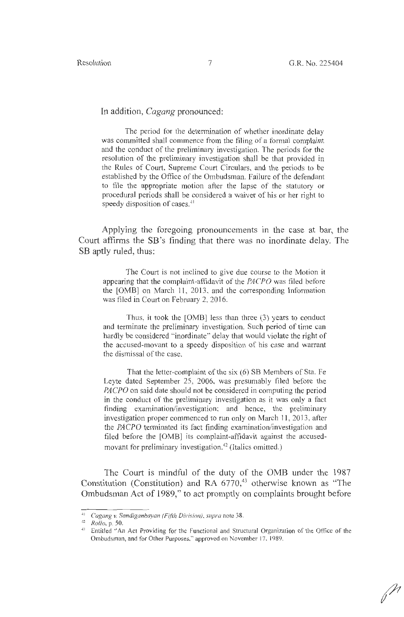In addition, *Cagang* pronounced:

The period for the determination of whether inordinate delay was committed shall commence from the filing of a formal complaint and the conduct of the preliminary investigation. The periods for the resolution of the preliminary investigation shall be that provided in the Rules of Court, Supreme Cowt Circulars, and the periods to be established by the Office of the Ombudsman. Failure of the defendant to file the appropriate motion after the lapse of the statutory or procedural periods shall be considered a waiver of his or her right to speedy disposition of cases.<sup>41</sup>

Applying the foregoing pronouncements in the case at bar, the Court affirms the SB 's finding that there was no inordinate delay. The SB aptly ruled, thus:

The Court is not inclined to give due course to the Motion it appearing that the complaint-affidavit of the *PA CPO* was filed before the [0MB] on March 11 , 2013, and the corresponding Information was filed in Court on February 2, 2016.

Thus, it took the [0MB] less than three (3) years to conduct and terminate the preliminary investigation. Such period of time can hardly be considered "inordinate" delay that would violate the right of the accused-movant to a speedy disposition of his case and warrant the dismissal of the case.

That the letter-complaint of the six (6) SB Members of Sta. Fe Leyte dated September 25, 2006, was presumably filed before the *PACPO* on said date should not be considered in computing the period in the conduct of the preliminary investigation as it was only a fact finding examination/investigation; and hence, the preliminary investigation proper commenced to run only on March 11, 2013, after the *PACPO* terminated its fact finding examination/investigation and filed before the [0MB] its complaint-affidavit against the accusedmovant for preliminary investigation.<sup>42</sup> (Italics omitted.)

The Court is mindful of the duty of the OMB under the 1987 Constitution (Constitution) and RA  $6770<sub>1</sub><sup>43</sup>$  otherwise known as "The Ombudsman Act of 1989," to act promptly on complaints brought before

<sup>&</sup>lt;sup>41</sup> *Cagang v. Sandiganbayan (Fifth Division), supra* note 38.<br><sup>42</sup> *Rollo, p. 50.*<br><sup>43</sup> Entitled "An Act Providing for the Functional and Structural Organization of the Office of the Ombudsman, and for Other Purposes," approved on November 17, 1989.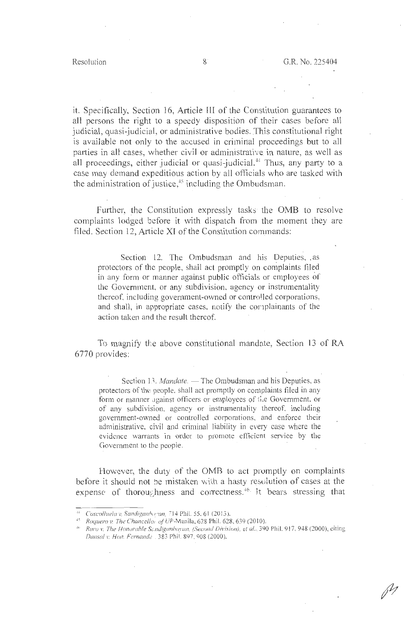it. Specifically, Section 16, Article III of the Constitution guarantees to all persons the right to a speedy disposition of their cases before all judicial, quasi-judicial, or administrative bodies. This constitutional right is available not only to the accused in criminal proceedings but to all parties in all cases, whether civil or administrative in nature, as well as all proceedings, either judicial or quasi-judicial.<sup>44</sup> Thus, any party to a case may demand expeditious action by all officials who are tasked with the administration of justice, 45 including the Ombudsman.

Further, the Constitution expressly tasks the OMB to resolve complaints lodged before it with dispatch from the moment they are filed. Section 12, Article XI of the Constitution commands:

Section 12. The Ombudsman and his Deputies, as protectors of the people, shall act promptly on complaints filed in any form or manner against public officials or employees of the Government, or any subdivision, agency or instrumentality thereof, including government-owned or controlled corporations, and shall, in appropriate cases, notify the complainants of the action taken and the result thereof.

To magnify the above constitutional mandate, Section 13 of RA 6770 provides:

Section 13. *Mandate.* — The Ombudsman and his Deputies, as protectors of the people, shall act promptly on complaints filed in any form or manner against officers or employees of the Government, or of any subdivision, agency or instrumentality thereof, including government-owned or controlled corporations, and enforce their administrative, civil and criminal liability in every case where the evidence warrants in order to promote efficient service by the Government to the people.

However, the duty of the 0MB to act promptly on complaints before it should not be mistaken with a hasty resolution of cases at the expense of thoroughness and correctness.<sup>46</sup>. It bears stressing that

<sup>&</sup>lt;sup>++</sup> *Coscolluela v. Sandiganbanan, 714 Phil. 55. 61 (2013).*<br><sup>+5</sup> *Postumo v. The Changellos of UP Manila, 628 Phil. 628* 

<sup>&#</sup>x27; *Raquero v. The Chancellor of* UP-Manila, 628 Phil. 628, 639(2010).

<sup>&</sup>lt;sup>46</sup> Raro v. The Honorable Sandiganbayan, (Second Division), et al., 390 Phil. 917, 948 (2000), citing *Dansal v. Hon. Femc:nd.?.* . 383 Phi!. 897, 908 (2000).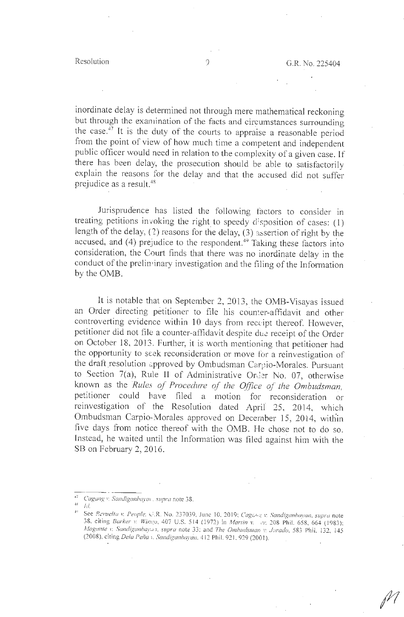inordinate delay is determined not through mere mathematical reckoning but through the examination of the facts and circumstances surrounding the case. 47 It is the duty of the courts to appraise a reasonable period from the point of view of how much time a competent and independent public officer would need in relation to the complexity of a given case. If there has been delay, the prosecution should be able to satisfactorily explain the reasons for the delay and that the accused did not suffer prejudice as a result.<sup>48</sup>

Jurisprudence has listed the following factors to consider in treating petitions invoking the right to speedy disposition of cases:  $(1)$ length of the delay, (?) reasons for the delay, (3) assertion of right by the accused, and (4) prejudice to the respondent.<sup>49</sup> Taking these factors into consideration, the Court finds that there was no inordinate delay in the conduct of the prelin inary investigation and the filing of the Information by the 0MB.

It is notable that on September 2, 2013, the OMB-Visayas issued an Order directing petitioner to file his counter-affidavit and other controverting evidence within 10 days from rectipt thereof. However, petitioner did not file a counter-affidavit despite due receipt of the Order on October 18, 2013 . Further, it is worth mentioning that petitioner had the opportunity to seek reconsideration or move for a reinvestigation of the draft resolution approved by Ombudsman Carpio-Morales. Pursuant to Section 7(a), Rule II of Administrative Order No. 07, otherwise known as the *Rules of Procedure of the Office of the Ombudsman,*  petitioner could have filed a motion for reconsideration or reinvestigation of the Resolution dated April 25, 2014, which Ombudsman Carpio-Morales approved on December 15, 2014, within five days from notice thereof with the OMB. He chose not to do so. Instead, he waited until the Information was filed against him with the SB on February 2, 2016.

<sup>111</sup>*Cagang v, Sandiganbayai , supra* note 38.

<sup>9</sup>See *.'?ev11elta* v. *People,* c;.R. No. 237039, June 10, 20 19; *Cagc, 1.-~ v. Sandiganbayan, supra* note 38, citing *Barker v. Wingo*, 407 U.S. 514 (1972) in *Martin v. er,* 208 Phil. 658, 664 (1983); *Magante v. Sandiganbaya1, supra note 33; and The Ombudsman v. Jurado, 583 Phil. 132, 145* (2008), citing *Dela f'eFia* 1. *Sandiganbaycin.* 41 2 Phil. 921,929(2001).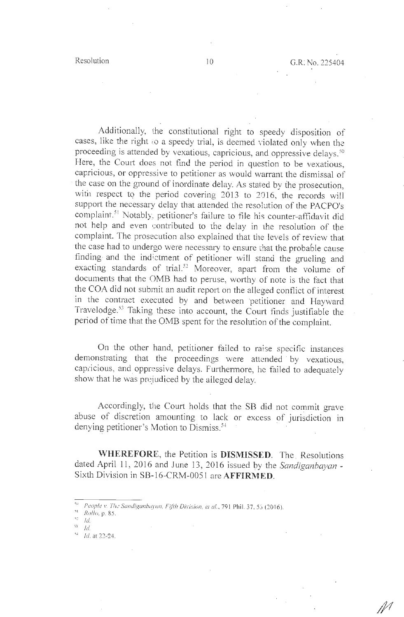Additionally, the constitutional right to speedy disposition of cases, like the right ;o a speedy trial, is deemed violated only when the proceeding is attended by vexatious, capricious, and oppressive delays. *so*  Here, the Court does not find the period in question to be vexatious, capricious, or oppressive to petitioner as would warrant the dismissal of the case on the ground of inordinate delay. As stated by the prosecution, with respect to the period covering 2013 to 2016, the records will support the necessary delay that attended the resolution of the PACPO's complaint.<sup>51</sup> Notably, petitioner's failure to file his counter-affidavit did not help and even contributed to the delay in the resolution of the complaint. The prosecution also explained that the levels of review that the case had to undergo were necessary to ensure that the. probable cause finding and the indictment of petitioner will stand the grueling and exacting standards of trial.<sup>52</sup> Moreover, apart from the volume of documents that the OMB had to peruse, worthy of note is the fact that the COA did not submit an audit report on the alleged conflict of interest in the contract executed by and between petitioner and Hayward Travelodge.<sup>53</sup> Taking these into account, the Court finds justifiable the period of time that the 0MB spent for the resolution of the complaint.

On the other hand, petitioner failed to raise specific instances demonstrating that the proceedings were attended by vexatious, capricious, and oppressive delays. Furthermore, he failed to adequately show that he was prejudiced by the alleged delay.

Accordingly, the Court holds that the SB did not commit grave abuse of discretion amounting to lack or excess of jurisdiction in denying petitioner's Motion to Dismiss. 54 ·

**WHEREFORE,** the Petition is **DISMISSED.** The . Resolutions dated April 11, 2016 and June 13, 2016 issued by the *Sandiganbayan* - Sixth Division in SB-16-CRM-005 l are **AFFIRMED.** 

<sup>&</sup>lt;sup>su</sup> People v. The Sandiganbayan, Fifth Division, et al., 791 Phil. 37, 55 (2016).

<sup>;,</sup> *Rollo,* p. 85.

 $\frac{1}{2}$  *Id.* 

 $^{53}$  Id.

 $1d.$  at 22-24.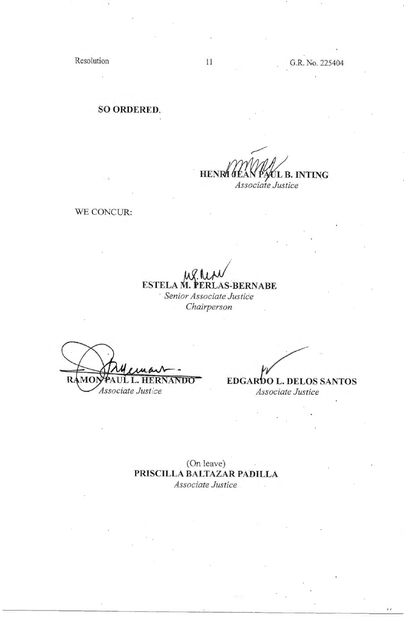Resolution 11 G.R. No. 225404

**SO ORDERED.** 

**HENRA JEAN PA/UL B. INTING** *Associate Justice* 

WE CONCUR:

**ESTELA M. PERLAS-BERNABE** · *Senior Associate Justic·e* 

*Chairperson* 

ULL. 40 **HERNANDO** *Associate Justic:e* 

*~·* 

**EDGARDO L. DELOS SANTOS** *Associate Justice* 

(On leave) **PRISCILLA BALTAZAR PADILLA**  *Associate Justice*